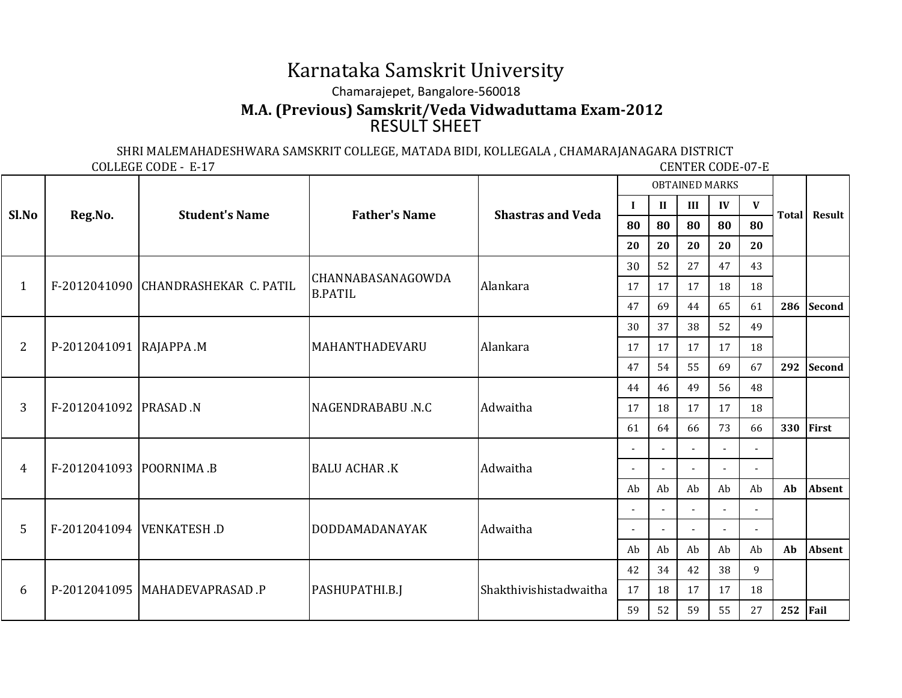## Karnataka Samskrit UniversityChamarajepet, Bangalore-560018RESULT SHEET**M.A. (Previous) Samskrit/Veda Vidwaduttama Exam-2012**

SHRI MALEMAHADESHWARA SAMSKRIT COLLEGE, MATADA BIDI, KOLLEGALA , CHAMARAJANAGARA DISTRICT

COLLEGE CODE - E-17

**CENTER CODE-07-E** 

| Sl.No          | Reg.No.                  | <b>Student's Name</b>               | <b>Father's Name</b>                       | <b>Shastras and Veda</b> | <b>OBTAINED MARKS</b>    |                |                          |                |                          |        |               |
|----------------|--------------------------|-------------------------------------|--------------------------------------------|--------------------------|--------------------------|----------------|--------------------------|----------------|--------------------------|--------|---------------|
|                |                          |                                     |                                            |                          | $\bf{I}$                 | $\mathbf{I}$   | III                      | IV             | $\mathbf{V}$             |        |               |
|                |                          |                                     |                                            |                          | 80                       | 80             | 80<br>80                 | 80             | <b>Total</b>             | Result |               |
|                |                          |                                     |                                            |                          | 20                       | 20             | 20                       | 20             | 20                       |        |               |
|                |                          | F-2012041090 CHANDRASHEKAR C. PATIL | <b>CHANNABASANAGOWDA</b><br><b>B.PATIL</b> | Alankara                 | 30                       | 52             | 27                       | 47             | 43                       |        |               |
| $\mathbf{1}$   |                          |                                     |                                            |                          | 17                       | 17             | 17                       | 18             | 18                       |        |               |
|                |                          |                                     |                                            |                          | 47                       | 69             | 44                       | 65             | 61                       | 286    | <b>Second</b> |
| $\overline{2}$ | P-2012041091  RAJAPPA .M |                                     | MAHANTHADEVARU                             | Alankara                 | 30                       | 37             | 38                       | 52             | 49                       |        |               |
|                |                          |                                     |                                            |                          | 17                       | 17             | 17                       | 17             | 18                       |        |               |
|                |                          |                                     |                                            |                          | 47                       | 54             | 55                       | 69             | 67                       | 292    | Second        |
| 3              | F-2012041092  PRASAD .N  |                                     | NAGENDRABABU .N.C                          | Adwaitha                 | 44                       | 46             | 49                       | 56             | 48                       |        |               |
|                |                          |                                     |                                            |                          | 17                       | 18             | 17                       | 17             | 18                       |        |               |
|                |                          |                                     |                                            |                          | 61                       | 64             | 66                       | 73             | 66                       | 330    | First         |
| $\overline{4}$ |                          | F-2012041093  POORNIMA.B            | <b>BALU ACHAR .K</b>                       | Adwaitha                 |                          |                | $\overline{a}$           |                |                          |        |               |
|                |                          |                                     |                                            |                          | $\overline{\phantom{a}}$ | $\overline{a}$ | $\overline{a}$           | $\overline{a}$ | $\overline{\phantom{a}}$ |        |               |
|                |                          |                                     |                                            |                          | Ab                       | Ab             | Ab                       | Ab             | Ab                       | Ab     | <b>Absent</b> |
| 5              |                          | F-2012041094 VENKATESH.D            | <b>DODDAMADANAYAK</b>                      | Adwaitha                 |                          |                | $\overline{\phantom{a}}$ |                |                          |        |               |
|                |                          |                                     |                                            |                          | $\overline{\phantom{a}}$ | $\overline{a}$ | $\sim$                   | $\overline{a}$ | $\overline{a}$           |        |               |
|                |                          |                                     |                                            |                          | Ab                       | Ab             | Ab                       | Ab             | Ab                       | Ab     | <b>Absent</b> |
| 6              |                          | P-2012041095   MAHADEVAPRASAD .P    | PASHUPATHI.B.J                             | Shakthivishistadwaitha   | 42                       | 34             | 42                       | 38             | 9                        |        |               |
|                |                          |                                     |                                            |                          | 17                       | 18             | 17                       | 17             | 18                       |        |               |
|                |                          |                                     |                                            |                          | 59                       | 52             | 59                       | 55             | 27                       | 252    | Fail          |